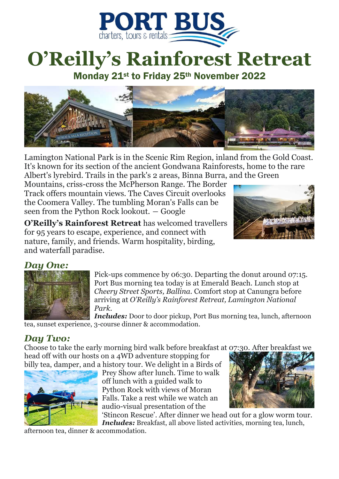

## **O'Reilly's Rainforest Retreat**

Monday 21st to Friday 25th November 2022



Lamington National Park is in the Scenic Rim Region, inland from the Gold Coast. It's known for its section of the ancient Gondwana Rainforests, home to the rare Albert's lyrebird. Trails in the park's 2 areas, Binna Burra, and the Green

Mountains, criss-cross the McPherson Range. The Border Track offers mountain views. The Caves Circuit overlooks the Coomera Valley. The tumbling Moran's Falls can be seen from the Python Rock lookout. ― Google

**O'Reilly's Rainforest Retreat** has welcomed travellers for 95 years to escape, experience, and connect with nature, family, and friends. Warm hospitality, birding, and waterfall paradise.



## *Day One:*



Pick-ups commence by 06:30. Departing the donut around 07:15. Port Bus morning tea today is at Emerald Beach. Lunch stop at *Cheery Street Sports, Ballina.* Comfort stop at Canungra before arriving at *O'Reilly's Rainforest Retreat, Lamington National Park.*

*Includes:* Door to door pickup, Port Bus morning tea, lunch, afternoon tea, sunset experience, 3-course dinner & accommodation.

## *Day Two:*

Choose to take the early morning bird walk before breakfast at 07:30. After breakfast we head off with our hosts on a 4WD adventure stopping for



billy tea, damper, and a history tour. We delight in a Birds of Prey Show after lunch. Time to walk off lunch with a guided walk to Python Rock with views of Moran Falls. Take a rest while we watch an audio-visual presentation of the



'Stincon Rescue'. After dinner we head out for a glow worm tour.

*Includes: Breakfast, all above listed activities, morning tea, lunch,* 

afternoon tea, dinner & accommodation.